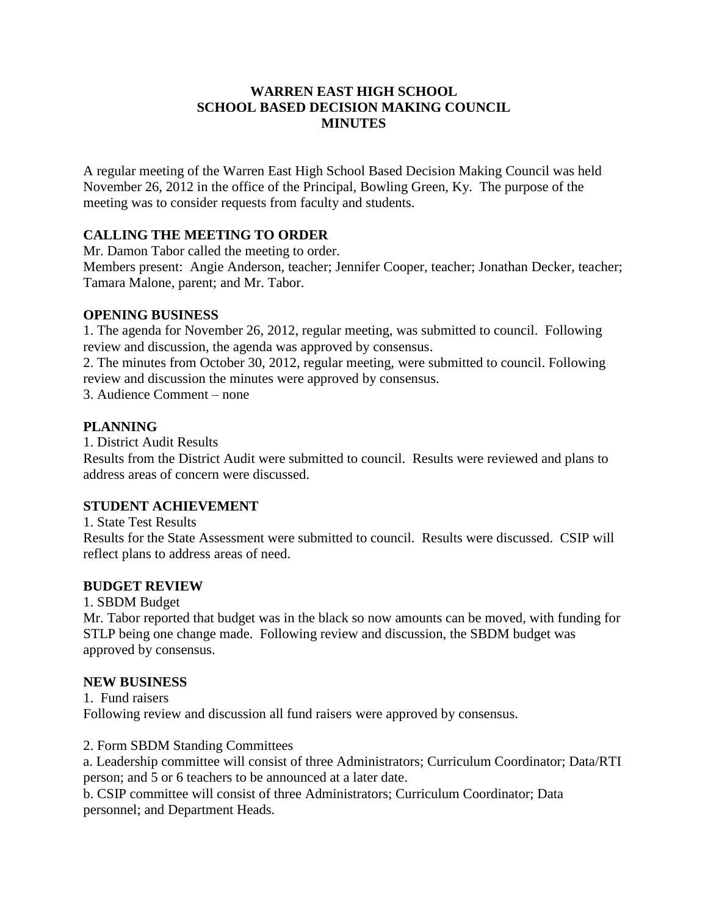# **WARREN EAST HIGH SCHOOL SCHOOL BASED DECISION MAKING COUNCIL MINUTES**

A regular meeting of the Warren East High School Based Decision Making Council was held November 26, 2012 in the office of the Principal, Bowling Green, Ky. The purpose of the meeting was to consider requests from faculty and students.

# **CALLING THE MEETING TO ORDER**

Mr. Damon Tabor called the meeting to order.

Members present: Angie Anderson, teacher; Jennifer Cooper, teacher; Jonathan Decker, teacher; Tamara Malone, parent; and Mr. Tabor.

## **OPENING BUSINESS**

1. The agenda for November 26, 2012, regular meeting, was submitted to council. Following review and discussion, the agenda was approved by consensus.

2. The minutes from October 30, 2012, regular meeting, were submitted to council. Following review and discussion the minutes were approved by consensus.

3. Audience Comment – none

## **PLANNING**

1. District Audit Results

Results from the District Audit were submitted to council. Results were reviewed and plans to address areas of concern were discussed.

# **STUDENT ACHIEVEMENT**

1. State Test Results

Results for the State Assessment were submitted to council. Results were discussed. CSIP will reflect plans to address areas of need.

# **BUDGET REVIEW**

1. SBDM Budget

Mr. Tabor reported that budget was in the black so now amounts can be moved, with funding for STLP being one change made. Following review and discussion, the SBDM budget was approved by consensus.

#### **NEW BUSINESS**

1. Fund raisers Following review and discussion all fund raisers were approved by consensus.

2. Form SBDM Standing Committees

a. Leadership committee will consist of three Administrators; Curriculum Coordinator; Data/RTI person; and 5 or 6 teachers to be announced at a later date.

b. CSIP committee will consist of three Administrators; Curriculum Coordinator; Data personnel; and Department Heads.